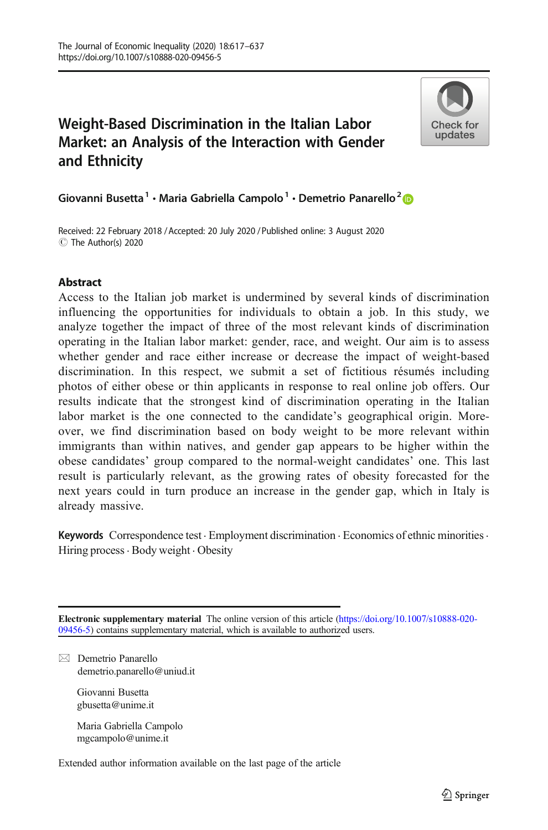# Weight-Based Discrimination in the Italian Labor Market: an Analysis of the Interaction with Gender and Ethnicity



Giovanni Busetta<sup>1</sup> · Maria Gabriella Campolo<sup>1</sup> · Demetrio Panarello<sup>2</sup>

Received: 22 February 2018 / Accepted: 20 July 2020 /Published online: 3 August 2020C The Author(s) 2020

# **Abstract**

Access to the Italian job market is undermined by several kinds of discrimination influencing the opportunities for individuals to obtain a job. In this study, we analyze together the impact of three of the most relevant kinds of discrimination operating in the Italian labor market: gender, race, and weight. Our aim is to assess whether gender and race either increase or decrease the impact of weight-based discrimination. In this respect, we submit a set of fictitious résumés including photos of either obese or thin applicants in response to real online job offers. Our results indicate that the strongest kind of discrimination operating in the Italian labor market is the one connected to the candidate's geographical origin. Moreover, we find discrimination based on body weight to be more relevant within immigrants than within natives, and gender gap appears to be higher within the obese candidates' group compared to the normal-weight candidates' one. This last result is particularly relevant, as the growing rates of obesity forecasted for the next years could in turn produce an increase in the gender gap, which in Italy is already massive.

Keywords Correspondence test · Employment discrimination · Economics of ethnic minorities · Hiring process  $\cdot$  Body weight  $\cdot$  Obesity

Electronic supplementary material The online version of this article ([https://doi.org/10.1007/s10888-020-](https://doi.org/10.1007/s10888-020-09456-5) [09456-5\)](https://doi.org/10.1007/s10888-020-09456-5) contains supplementary material, which is available to authorized users.

 $\boxtimes$  Demetrio Panarello [demetrio.panarello@uniud.it](mailto:demetrio.panarello@uniud.it)

> Giovanni Busetta gbusetta@unime.it

Maria Gabriella Campolo mgcampolo@unime.it

Extended author information available on the last page of the article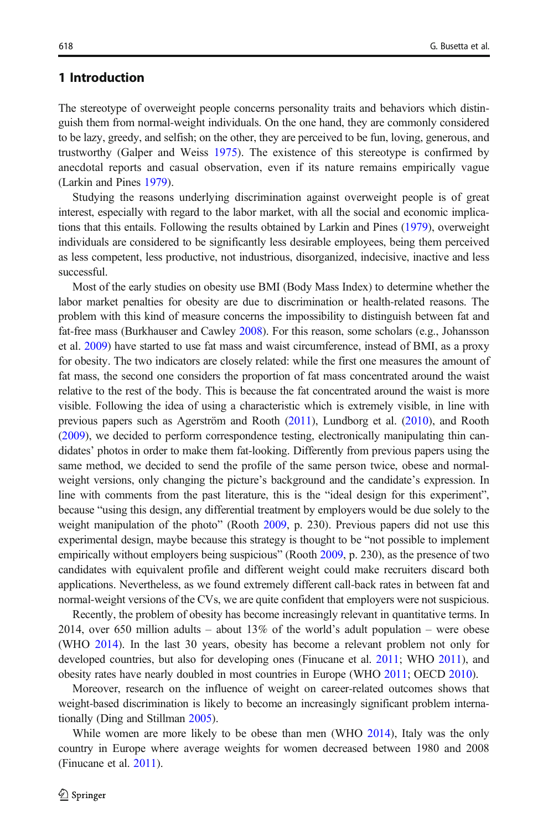# 1 Introduction

The stereotype of overweight people concerns personality traits and behaviors which distinguish them from normal-weight individuals. On the one hand, they are commonly considered to be lazy, greedy, and selfish; on the other, they are perceived to be fun, loving, generous, and trustworthy (Galper and Weiss [1975](#page-19-0)). The existence of this stereotype is confirmed by anecdotal reports and casual observation, even if its nature remains empirically vague (Larkin and Pines [1979](#page-19-0)).

Studying the reasons underlying discrimination against overweight people is of great interest, especially with regard to the labor market, with all the social and economic implications that this entails. Following the results obtained by Larkin and Pines ([1979](#page-19-0)), overweight individuals are considered to be significantly less desirable employees, being them perceived as less competent, less productive, not industrious, disorganized, indecisive, inactive and less successful.

Most of the early studies on obesity use BMI (Body Mass Index) to determine whether the labor market penalties for obesity are due to discrimination or health-related reasons. The problem with this kind of measure concerns the impossibility to distinguish between fat and fat-free mass (Burkhauser and Cawley [2008](#page-18-0)). For this reason, some scholars (e.g., Johansson et al. [2009](#page-19-0)) have started to use fat mass and waist circumference, instead of BMI, as a proxy for obesity. The two indicators are closely related: while the first one measures the amount of fat mass, the second one considers the proportion of fat mass concentrated around the waist relative to the rest of the body. This is because the fat concentrated around the waist is more visible. Following the idea of using a characteristic which is extremely visible, in line with previous papers such as Agerström and Rooth [\(2011\)](#page-18-0), Lundborg et al. [\(2010\)](#page-19-0), and Rooth ([2009](#page-20-0)), we decided to perform correspondence testing, electronically manipulating thin candidates' photos in order to make them fat-looking. Differently from previous papers using the same method, we decided to send the profile of the same person twice, obese and normalweight versions, only changing the picture's background and the candidate's expression. In line with comments from the past literature, this is the "ideal design for this experiment", because "using this design, any differential treatment by employers would be due solely to the weight manipulation of the photo" (Rooth [2009,](#page-20-0) p. 230). Previous papers did not use this experimental design, maybe because this strategy is thought to be "not possible to implement empirically without employers being suspicious" (Rooth [2009](#page-20-0), p. 230), as the presence of two candidates with equivalent profile and different weight could make recruiters discard both applications. Nevertheless, as we found extremely different call-back rates in between fat and normal-weight versions of the CVs, we are quite confident that employers were not suspicious.

Recently, the problem of obesity has become increasingly relevant in quantitative terms. In 2014, over 650 million adults – about  $13\%$  of the world's adult population – were obese (WHO [2014\)](#page-20-0). In the last 30 years, obesity has become a relevant problem not only for developed countries, but also for developing ones (Finucane et al. [2011](#page-19-0); WHO [2011](#page-20-0)), and obesity rates have nearly doubled in most countries in Europe (WHO [2011;](#page-20-0) OECD [2010\)](#page-20-0).

Moreover, research on the influence of weight on career-related outcomes shows that weight-based discrimination is likely to become an increasingly significant problem internationally (Ding and Stillman [2005\)](#page-19-0).

While women are more likely to be obese than men (WHO [2014](#page-20-0)), Italy was the only country in Europe where average weights for women decreased between 1980 and 2008 (Finucane et al. [2011\)](#page-19-0).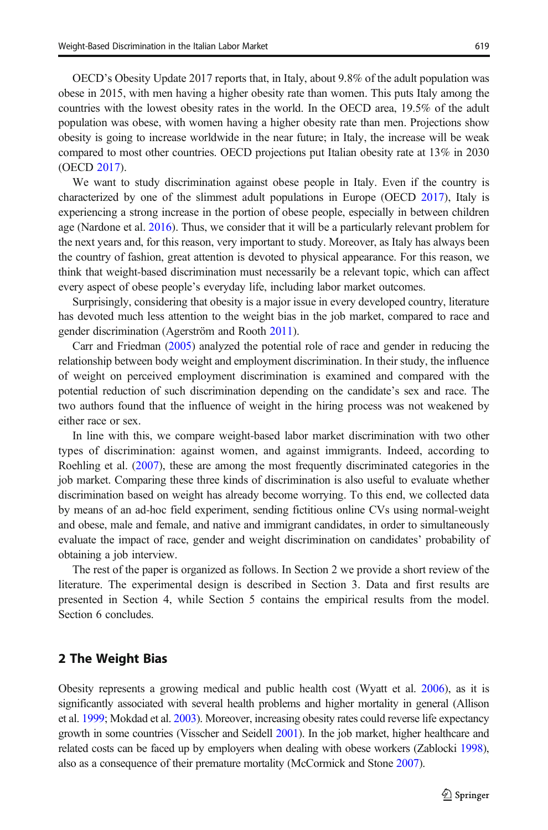OECD's Obesity Update 2017 reports that, in Italy, about 9.8% of the adult population was obese in 2015, with men having a higher obesity rate than women. This puts Italy among the countries with the lowest obesity rates in the world. In the OECD area, 19.5% of the adult population was obese, with women having a higher obesity rate than men. Projections show obesity is going to increase worldwide in the near future; in Italy, the increase will be weak compared to most other countries. OECD projections put Italian obesity rate at 13% in 2030 (OECD [2017](#page-20-0)).

We want to study discrimination against obese people in Italy. Even if the country is characterized by one of the slimmest adult populations in Europe (OECD [2017](#page-20-0)), Italy is experiencing a strong increase in the portion of obese people, especially in between children age (Nardone et al. [2016\)](#page-19-0). Thus, we consider that it will be a particularly relevant problem for the next years and, for this reason, very important to study. Moreover, as Italy has always been the country of fashion, great attention is devoted to physical appearance. For this reason, we think that weight-based discrimination must necessarily be a relevant topic, which can affect every aspect of obese people's everyday life, including labor market outcomes.

Surprisingly, considering that obesity is a major issue in every developed country, literature has devoted much less attention to the weight bias in the job market, compared to race and gender discrimination (Agerström and Rooth [2011\)](#page-18-0).

Carr and Friedman [\(2005\)](#page-18-0) analyzed the potential role of race and gender in reducing the relationship between body weight and employment discrimination. In their study, the influence of weight on perceived employment discrimination is examined and compared with the potential reduction of such discrimination depending on the candidate's sex and race. The two authors found that the influence of weight in the hiring process was not weakened by either race or sex.

In line with this, we compare weight-based labor market discrimination with two other types of discrimination: against women, and against immigrants. Indeed, according to Roehling et al. ([2007](#page-20-0)), these are among the most frequently discriminated categories in the job market. Comparing these three kinds of discrimination is also useful to evaluate whether discrimination based on weight has already become worrying. To this end, we collected data by means of an ad-hoc field experiment, sending fictitious online CVs using normal-weight and obese, male and female, and native and immigrant candidates, in order to simultaneously evaluate the impact of race, gender and weight discrimination on candidates' probability of obtaining a job interview.

The rest of the paper is organized as follows. In Section 2 we provide a short review of the literature. The experimental design is described in Section 3. Data and first results are presented in Section 4, while Section 5 contains the empirical results from the model. Section 6 concludes.

# 2 The Weight Bias

Obesity represents a growing medical and public health cost (Wyatt et al. [2006\)](#page-20-0), as it is significantly associated with several health problems and higher mortality in general (Allison et al. [1999;](#page-18-0) Mokdad et al. [2003\)](#page-19-0). Moreover, increasing obesity rates could reverse life expectancy growth in some countries (Visscher and Seidell [2001](#page-20-0)). In the job market, higher healthcare and related costs can be faced up by employers when dealing with obese workers (Zablocki [1998](#page-20-0)), also as a consequence of their premature mortality (McCormick and Stone [2007](#page-19-0)).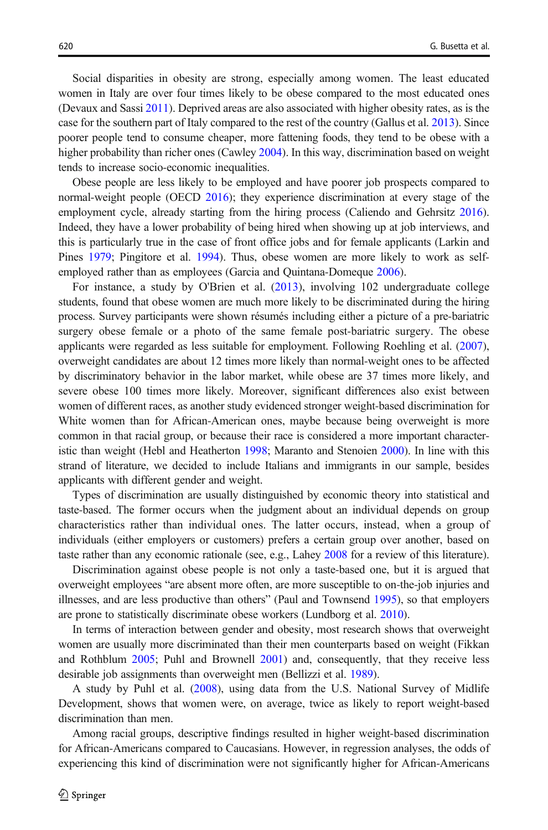Social disparities in obesity are strong, especially among women. The least educated women in Italy are over four times likely to be obese compared to the most educated ones (Devaux and Sassi [2011](#page-19-0)). Deprived areas are also associated with higher obesity rates, as is the case for the southern part of Italy compared to the rest of the country (Gallus et al. [2013\)](#page-19-0). Since poorer people tend to consume cheaper, more fattening foods, they tend to be obese with a higher probability than richer ones (Cawley [2004](#page-18-0)). In this way, discrimination based on weight tends to increase socio-economic inequalities.

Obese people are less likely to be employed and have poorer job prospects compared to normal-weight people (OECD [2016\)](#page-20-0); they experience discrimination at every stage of the employment cycle, already starting from the hiring process (Caliendo and Gehrsitz [2016](#page-18-0)). Indeed, they have a lower probability of being hired when showing up at job interviews, and this is particularly true in the case of front office jobs and for female applicants (Larkin and Pines [1979](#page-19-0); Pingitore et al. [1994\)](#page-20-0). Thus, obese women are more likely to work as self-employed rather than as employees (Garcia and Quintana-Domeque [2006\)](#page-19-0).

For instance, a study by O'Brien et al. ([2013](#page-19-0)), involving 102 undergraduate college students, found that obese women are much more likely to be discriminated during the hiring process. Survey participants were shown résumés including either a picture of a pre-bariatric surgery obese female or a photo of the same female post-bariatric surgery. The obese applicants were regarded as less suitable for employment. Following Roehling et al. ([2007](#page-20-0)), overweight candidates are about 12 times more likely than normal-weight ones to be affected by discriminatory behavior in the labor market, while obese are 37 times more likely, and severe obese 100 times more likely. Moreover, significant differences also exist between women of different races, as another study evidenced stronger weight-based discrimination for White women than for African-American ones, maybe because being overweight is more common in that racial group, or because their race is considered a more important characteristic than weight (Hebl and Heatherton [1998](#page-19-0); Maranto and Stenoien [2000](#page-19-0)). In line with this strand of literature, we decided to include Italians and immigrants in our sample, besides applicants with different gender and weight.

Types of discrimination are usually distinguished by economic theory into statistical and taste-based. The former occurs when the judgment about an individual depends on group characteristics rather than individual ones. The latter occurs, instead, when a group of individuals (either employers or customers) prefers a certain group over another, based on taste rather than any economic rationale (see, e.g., Lahey [2008](#page-19-0) for a review of this literature).

Discrimination against obese people is not only a taste-based one, but it is argued that overweight employees "are absent more often, are more susceptible to on-the-job injuries and illnesses, and are less productive than others" (Paul and Townsend [1995](#page-20-0)), so that employers are prone to statistically discriminate obese workers (Lundborg et al. [2010\)](#page-19-0).

In terms of interaction between gender and obesity, most research shows that overweight women are usually more discriminated than their men counterparts based on weight (Fikkan and Rothblum [2005](#page-19-0); Puhl and Brownell [2001](#page-20-0)) and, consequently, that they receive less desirable job assignments than overweight men (Bellizzi et al. [1989](#page-18-0)).

A study by Puhl et al. ([2008](#page-20-0)), using data from the U.S. National Survey of Midlife Development, shows that women were, on average, twice as likely to report weight-based discrimination than men.

Among racial groups, descriptive findings resulted in higher weight-based discrimination for African-Americans compared to Caucasians. However, in regression analyses, the odds of experiencing this kind of discrimination were not significantly higher for African-Americans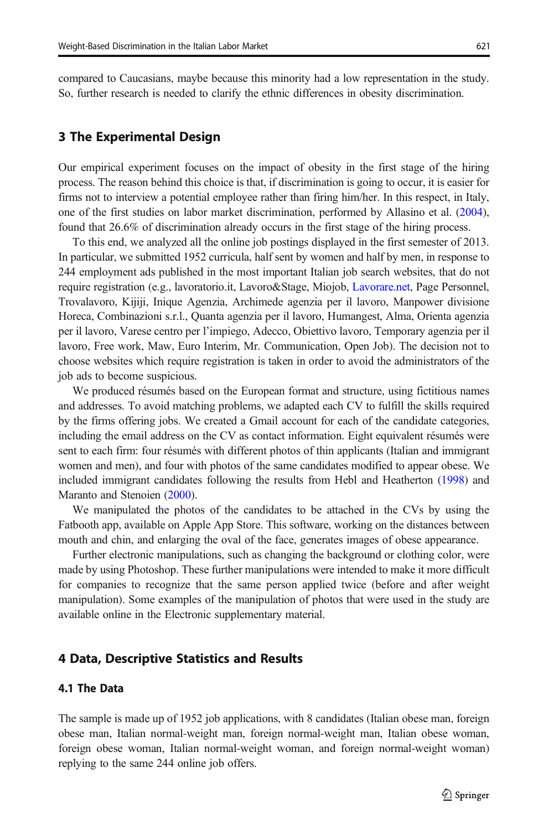compared to Caucasians, maybe because this minority had a low representation in the study. So, further research is needed to clarify the ethnic differences in obesity discrimination.

# 3 The Experimental Design

Our empirical experiment focuses on the impact of obesity in the first stage of the hiring process. The reason behind this choice is that, if discrimination is going to occur, it is easier for firms not to interview a potential employee rather than firing him/her. In this respect, in Italy, one of the first studies on labor market discrimination, performed by Allasino et al. ([2004](#page-18-0)), found that 26.6% of discrimination already occurs in the first stage of the hiring process.

To this end, we analyzed all the online job postings displayed in the first semester of 2013. In particular, we submitted 1952 curricula, half sent by women and half by men, in response to 244 employment ads published in the most important Italian job search websites, that do not require registration (e.g., lavoratorio.it, Lavoro&Stage, Miojob, [Lavorare.net,](http://lavorare.net) Page Personnel, Trovalavoro, Kijiji, Inique Agenzia, Archimede agenzia per il lavoro, Manpower divisione Horeca, Combinazioni s.r.l., Quanta agenzia per il lavoro, Humangest, Alma, Orienta agenzia per il lavoro, Varese centro per l'impiego, Adecco, Obiettivo lavoro, Temporary agenzia per il lavoro, Free work, Maw, Euro Interim, Mr. Communication, Open Job). The decision not to choose websites which require registration is taken in order to avoid the administrators of the job ads to become suspicious.

We produced résumés based on the European format and structure, using fictitious names and addresses. To avoid matching problems, we adapted each CV to fulfill the skills required by the firms offering jobs. We created a Gmail account for each of the candidate categories, including the email address on the CV as contact information. Eight equivalent résumés were sent to each firm: four résumés with different photos of thin applicants (Italian and immigrant women and men), and four with photos of the same candidates modified to appear obese. We included immigrant candidates following the results from Hebl and Heatherton [\(1998\)](#page-19-0) and Maranto and Stenoien ([2000](#page-19-0)).

We manipulated the photos of the candidates to be attached in the CVs by using the Fatbooth app, available on Apple App Store. This software, working on the distances between mouth and chin, and enlarging the oval of the face, generates images of obese appearance.

Further electronic manipulations, such as changing the background or clothing color, were made by using Photoshop. These further manipulations were intended to make it more difficult for companies to recognize that the same person applied twice (before and after weight manipulation). Some examples of the manipulation of photos that were used in the study are available online in the Electronic supplementary material.

# 4 Data, Descriptive Statistics and Results

#### 4.1 The Data

The sample is made up of 1952 job applications, with 8 candidates (Italian obese man, foreign obese man, Italian normal-weight man, foreign normal-weight man, Italian obese woman, foreign obese woman, Italian normal-weight woman, and foreign normal-weight woman) replying to the same 244 online job offers.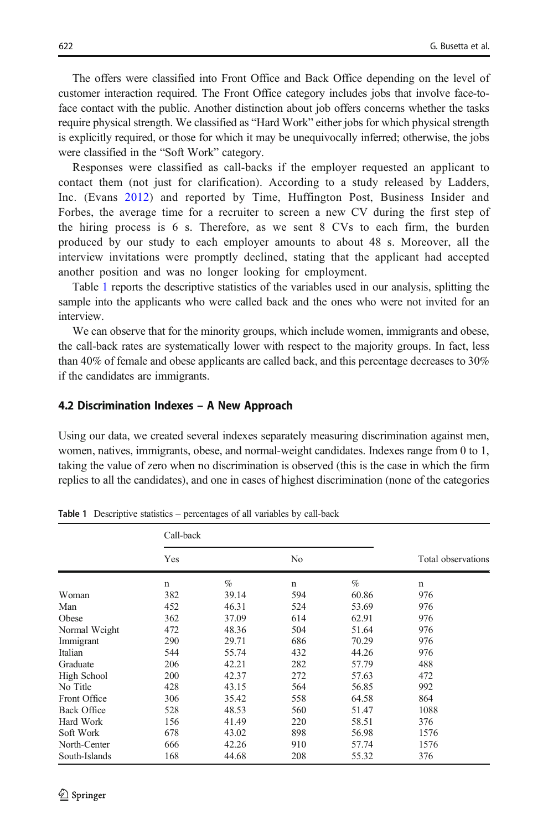The offers were classified into Front Office and Back Office depending on the level of customer interaction required. The Front Office category includes jobs that involve face-toface contact with the public. Another distinction about job offers concerns whether the tasks require physical strength. We classified as "Hard Work" either jobs for which physical strength is explicitly required, or those for which it may be unequivocally inferred; otherwise, the jobs were classified in the "Soft Work" category.

Responses were classified as call-backs if the employer requested an applicant to contact them (not just for clarification). According to a study released by Ladders, Inc. (Evans [2012\)](#page-19-0) and reported by Time, Huffington Post, Business Insider and Forbes, the average time for a recruiter to screen a new CV during the first step of the hiring process is 6 s. Therefore, as we sent 8 CVs to each firm, the burden produced by our study to each employer amounts to about 48 s. Moreover, all the interview invitations were promptly declined, stating that the applicant had accepted another position and was no longer looking for employment.

Table 1 reports the descriptive statistics of the variables used in our analysis, splitting the sample into the applicants who were called back and the ones who were not invited for an interview.

We can observe that for the minority groups, which include women, immigrants and obese, the call-back rates are systematically lower with respect to the majority groups. In fact, less than 40% of female and obese applicants are called back, and this percentage decreases to 30% if the candidates are immigrants.

#### 4.2 Discrimination Indexes – A New Approach

Using our data, we created several indexes separately measuring discrimination against men, women, natives, immigrants, obese, and normal-weight candidates. Indexes range from 0 to 1, taking the value of zero when no discrimination is observed (this is the case in which the firm replies to all the candidates), and one in cases of highest discrimination (none of the categories

|                    | Call-back   |       |             |       |                    |
|--------------------|-------------|-------|-------------|-------|--------------------|
|                    | Yes         |       | No          |       | Total observations |
|                    | $\mathbf n$ | $\%$  | $\mathbf n$ | $\%$  | $\mathbf n$        |
| Woman              | 382         | 39.14 | 594         | 60.86 | 976                |
| Man                | 452         | 46.31 | 524         | 53.69 | 976                |
| Obese              | 362         | 37.09 | 614         | 62.91 | 976                |
| Normal Weight      | 472         | 48.36 | 504         | 51.64 | 976                |
| Immigrant          | 290         | 29.71 | 686         | 70.29 | 976                |
| Italian            | 544         | 55.74 | 432         | 44.26 | 976                |
| Graduate           | 206         | 42.21 | 282         | 57.79 | 488                |
| High School        | 200         | 42.37 | 272         | 57.63 | 472                |
| No Title           | 428         | 43.15 | 564         | 56.85 | 992                |
| Front Office       | 306         | 35.42 | 558         | 64.58 | 864                |
| <b>Back Office</b> | 528         | 48.53 | 560         | 51.47 | 1088               |
| Hard Work          | 156         | 41.49 | 220         | 58.51 | 376                |
| Soft Work          | 678         | 43.02 | 898         | 56.98 | 1576               |
| North-Center       | 666         | 42.26 | 910         | 57.74 | 1576               |
| South-Islands      | 168         | 44.68 | 208         | 55.32 | 376                |

Table 1 Descriptive statistics – percentages of all variables by call-back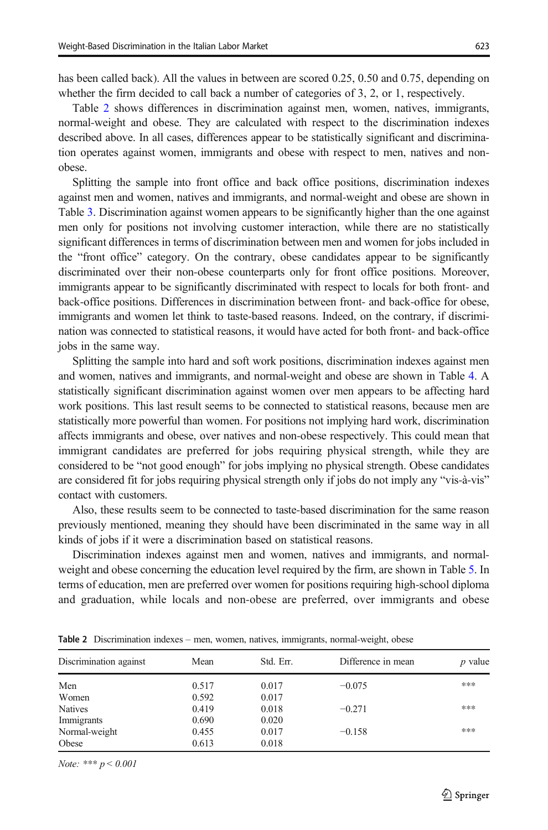has been called back). All the values in between are scored 0.25, 0.50 and 0.75, depending on whether the firm decided to call back a number of categories of 3, 2, or 1, respectively.

Table 2 shows differences in discrimination against men, women, natives, immigrants, normal-weight and obese. They are calculated with respect to the discrimination indexes described above. In all cases, differences appear to be statistically significant and discrimination operates against women, immigrants and obese with respect to men, natives and nonobese.

Splitting the sample into front office and back office positions, discrimination indexes against men and women, natives and immigrants, and normal-weight and obese are shown in Table [3.](#page-7-0) Discrimination against women appears to be significantly higher than the one against men only for positions not involving customer interaction, while there are no statistically significant differences in terms of discrimination between men and women for jobs included in the "front office" category. On the contrary, obese candidates appear to be significantly discriminated over their non-obese counterparts only for front office positions. Moreover, immigrants appear to be significantly discriminated with respect to locals for both front- and back-office positions. Differences in discrimination between front- and back-office for obese, immigrants and women let think to taste-based reasons. Indeed, on the contrary, if discrimination was connected to statistical reasons, it would have acted for both front- and back-office jobs in the same way.

Splitting the sample into hard and soft work positions, discrimination indexes against men and women, natives and immigrants, and normal-weight and obese are shown in Table [4.](#page-7-0) A statistically significant discrimination against women over men appears to be affecting hard work positions. This last result seems to be connected to statistical reasons, because men are statistically more powerful than women. For positions not implying hard work, discrimination affects immigrants and obese, over natives and non-obese respectively. This could mean that immigrant candidates are preferred for jobs requiring physical strength, while they are considered to be "not good enough" for jobs implying no physical strength. Obese candidates are considered fit for jobs requiring physical strength only if jobs do not imply any "vis-à-vis" contact with customers.

Also, these results seem to be connected to taste-based discrimination for the same reason previously mentioned, meaning they should have been discriminated in the same way in all kinds of jobs if it were a discrimination based on statistical reasons.

Discrimination indexes against men and women, natives and immigrants, and normalweight and obese concerning the education level required by the firm, are shown in Table [5](#page-8-0). In terms of education, men are preferred over women for positions requiring high-school diploma and graduation, while locals and non-obese are preferred, over immigrants and obese

| Discrimination against | Mean  | Std. Err. | Difference in mean | <i>p</i> value |
|------------------------|-------|-----------|--------------------|----------------|
| Men                    | 0.517 | 0.017     | $-0.075$           | ***            |
| Women                  | 0.592 | 0.017     |                    |                |
| <b>Natives</b>         | 0.419 | 0.018     | $-0.271$           | ***            |
| Immigrants             | 0.690 | 0.020     |                    |                |
| Normal-weight          | 0.455 | 0.017     | $-0.158$           | ***            |
| Obese                  | 0.613 | 0.018     |                    |                |

Table 2 Discrimination indexes – men, women, natives, immigrants, normal-weight, obese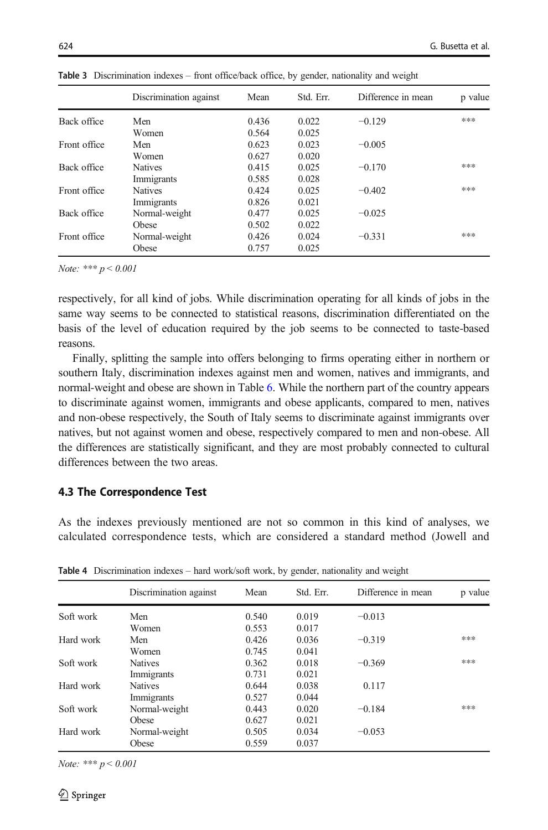|              | Discrimination against | Mean  | Std. Err. | Difference in mean | p value |
|--------------|------------------------|-------|-----------|--------------------|---------|
| Back office  | Men                    | 0.436 | 0.022     | $-0.129$           | ***     |
|              | Women                  | 0.564 | 0.025     |                    |         |
| Front office | Men                    | 0.623 | 0.023     | $-0.005$           |         |
|              | Women                  | 0.627 | 0.020     |                    |         |
| Back office  | <b>Natives</b>         | 0.415 | 0.025     | $-0.170$           | ***     |
|              | Immigrants             | 0.585 | 0.028     |                    |         |
| Front office | <b>Natives</b>         | 0.424 | 0.025     | $-0.402$           | ***     |
|              | Immigrants             | 0.826 | 0.021     |                    |         |
| Back office  | Normal-weight          | 0.477 | 0.025     | $-0.025$           |         |
|              | Obese                  | 0.502 | 0.022     |                    |         |
| Front office | Normal-weight          | 0.426 | 0.024     | $-0.331$           | ***     |
|              | Obese                  | 0.757 | 0.025     |                    |         |

<span id="page-7-0"></span>Table 3 Discrimination indexes – front office/back office, by gender, nationality and weight

Note: \*\*\*  $p < 0.001$ 

respectively, for all kind of jobs. While discrimination operating for all kinds of jobs in the same way seems to be connected to statistical reasons, discrimination differentiated on the basis of the level of education required by the job seems to be connected to taste-based reasons.

Finally, splitting the sample into offers belonging to firms operating either in northern or southern Italy, discrimination indexes against men and women, natives and immigrants, and normal-weight and obese are shown in Table [6.](#page-8-0) While the northern part of the country appears to discriminate against women, immigrants and obese applicants, compared to men, natives and non-obese respectively, the South of Italy seems to discriminate against immigrants over natives, but not against women and obese, respectively compared to men and non-obese. All the differences are statistically significant, and they are most probably connected to cultural differences between the two areas.

#### 4.3 The Correspondence Test

As the indexes previously mentioned are not so common in this kind of analyses, we calculated correspondence tests, which are considered a standard method (Jowell and

|           | Discrimination against | Mean  | Std. Err. | Difference in mean | p value |
|-----------|------------------------|-------|-----------|--------------------|---------|
| Soft work | Men                    | 0.540 | 0.019     | $-0.013$           |         |
|           | Women                  | 0.553 | 0.017     |                    |         |
| Hard work | Men                    | 0.426 | 0.036     | $-0.319$           | ***     |
|           | Women                  | 0.745 | 0.041     |                    |         |
| Soft work | <b>Natives</b>         | 0.362 | 0.018     | $-0.369$           | ***     |
|           | Immigrants             | 0.731 | 0.021     |                    |         |
| Hard work | <b>Natives</b>         | 0.644 | 0.038     | 0.117              |         |
|           | Immigrants             | 0.527 | 0.044     |                    |         |
| Soft work | Normal-weight          | 0.443 | 0.020     | $-0.184$           | ***     |
|           | Obese                  | 0.627 | 0.021     |                    |         |
| Hard work | Normal-weight          | 0.505 | 0.034     | $-0.053$           |         |
|           | Obese                  | 0.559 | 0.037     |                    |         |

Table 4 Discrimination indexes – hard work/soft work, by gender, nationality and weight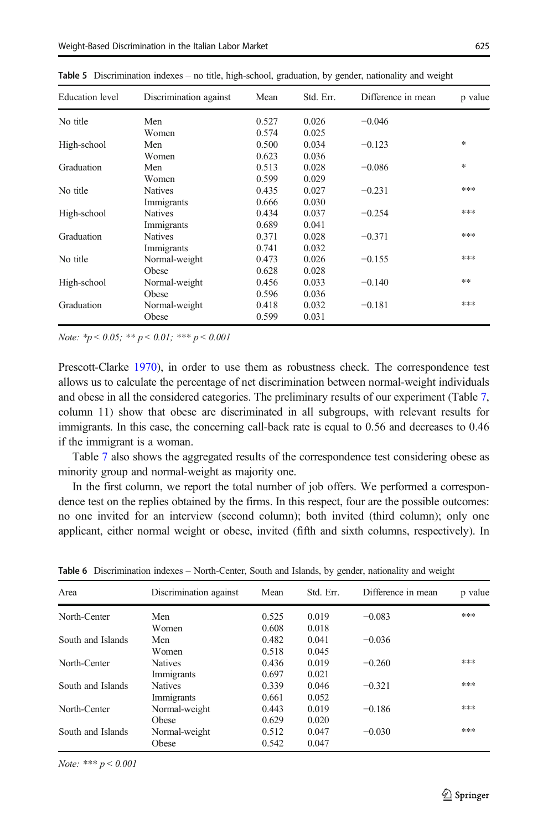| <b>Education</b> level | Discrimination against | Mean  | Std. Err. | Difference in mean | p value |
|------------------------|------------------------|-------|-----------|--------------------|---------|
| No title               | Men                    | 0.527 | 0.026     | $-0.046$           |         |
|                        | Women                  | 0.574 | 0.025     |                    |         |
| High-school            | Men                    | 0.500 | 0.034     | $-0.123$           | $*$     |
|                        | Women                  | 0.623 | 0.036     |                    |         |
| Graduation             | Men                    | 0.513 | 0.028     | $-0.086$           | $*$     |
|                        | Women                  | 0.599 | 0.029     |                    |         |
| No title               | <b>Natives</b>         | 0.435 | 0.027     | $-0.231$           | ***     |
|                        | Immigrants             | 0.666 | 0.030     |                    |         |
| High-school            | <b>Natives</b>         | 0.434 | 0.037     | $-0.254$           | ***     |
|                        | Immigrants             | 0.689 | 0.041     |                    |         |
| Graduation             | <b>Natives</b>         | 0.371 | 0.028     | $-0.371$           | ***     |
|                        | Immigrants             | 0.741 | 0.032     |                    |         |
| No title               | Normal-weight          | 0.473 | 0.026     | $-0.155$           | ***     |
|                        | Obese                  | 0.628 | 0.028     |                    |         |
| High-school            | Normal-weight          | 0.456 | 0.033     | $-0.140$           | **      |
|                        | Obese                  | 0.596 | 0.036     |                    |         |
| Graduation             | Normal-weight          | 0.418 | 0.032     | $-0.181$           | ***     |
|                        | Obese                  | 0.599 | 0.031     |                    |         |

<span id="page-8-0"></span>Table 5 Discrimination indexes – no title, high-school, graduation, by gender, nationality and weight

Note:  $\frac{k}{p}$  < 0.05;  $\frac{k}{p}$  < 0.01;  $\frac{k}{p}$  = 0.001

Prescott-Clarke [1970\)](#page-19-0), in order to use them as robustness check. The correspondence test allows us to calculate the percentage of net discrimination between normal-weight individuals and obese in all the considered categories. The preliminary results of our experiment (Table [7](#page-10-0), column 11) show that obese are discriminated in all subgroups, with relevant results for immigrants. In this case, the concerning call-back rate is equal to 0.56 and decreases to 0.46 if the immigrant is a woman.

Table [7](#page-10-0) also shows the aggregated results of the correspondence test considering obese as minority group and normal-weight as majority one.

In the first column, we report the total number of job offers. We performed a correspondence test on the replies obtained by the firms. In this respect, four are the possible outcomes: no one invited for an interview (second column); both invited (third column); only one applicant, either normal weight or obese, invited (fifth and sixth columns, respectively). In

| Area              | Discrimination against | Mean  | Std. Err. | Difference in mean | p value |
|-------------------|------------------------|-------|-----------|--------------------|---------|
| North-Center      | Men                    | 0.525 | 0.019     | $-0.083$           | ***     |
|                   | Women                  | 0.608 | 0.018     |                    |         |
| South and Islands | Men                    | 0.482 | 0.041     | $-0.036$           |         |
|                   | Women                  | 0.518 | 0.045     |                    |         |
| North-Center      | <b>Natives</b>         | 0.436 | 0.019     | $-0.260$           | ***     |
|                   | Immigrants             | 0.697 | 0.021     |                    |         |
| South and Islands | <b>Natives</b>         | 0.339 | 0.046     | $-0.321$           | ***     |
|                   | Immigrants             | 0.661 | 0.052     |                    |         |
| North-Center      | Normal-weight          | 0.443 | 0.019     | $-0.186$           | ***     |
|                   | Obese                  | 0.629 | 0.020     |                    |         |
| South and Islands | Normal-weight          | 0.512 | 0.047     | $-0.030$           | ***     |
|                   | Obese                  | 0.542 | 0.047     |                    |         |

Table 6 Discrimination indexes – North-Center, South and Islands, by gender, nationality and weight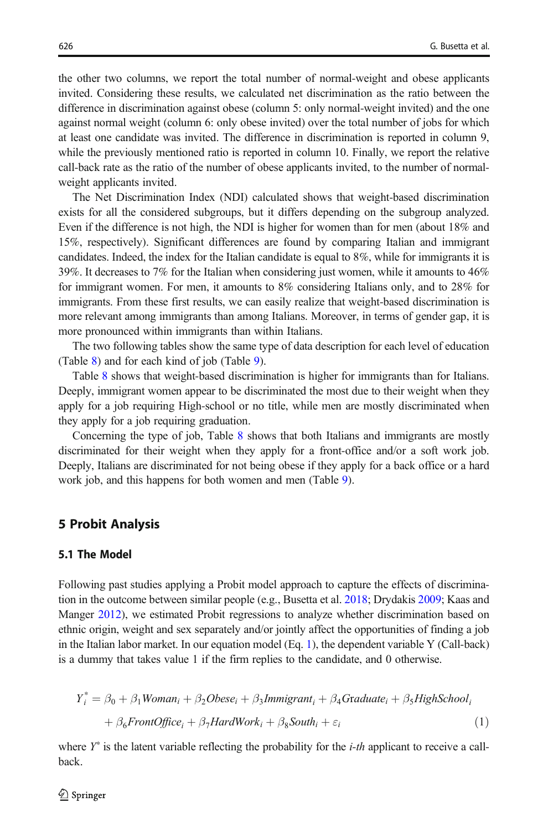<span id="page-9-0"></span>the other two columns, we report the total number of normal-weight and obese applicants invited. Considering these results, we calculated net discrimination as the ratio between the difference in discrimination against obese (column 5: only normal-weight invited) and the one against normal weight (column 6: only obese invited) over the total number of jobs for which at least one candidate was invited. The difference in discrimination is reported in column 9, while the previously mentioned ratio is reported in column 10. Finally, we report the relative call-back rate as the ratio of the number of obese applicants invited, to the number of normalweight applicants invited.

The Net Discrimination Index (NDI) calculated shows that weight-based discrimination exists for all the considered subgroups, but it differs depending on the subgroup analyzed. Even if the difference is not high, the NDI is higher for women than for men (about 18% and 15%, respectively). Significant differences are found by comparing Italian and immigrant candidates. Indeed, the index for the Italian candidate is equal to 8%, while for immigrants it is 39%. It decreases to 7% for the Italian when considering just women, while it amounts to 46% for immigrant women. For men, it amounts to 8% considering Italians only, and to 28% for immigrants. From these first results, we can easily realize that weight-based discrimination is more relevant among immigrants than among Italians. Moreover, in terms of gender gap, it is more pronounced within immigrants than within Italians.

The two following tables show the same type of data description for each level of education (Table [8](#page-11-0)) and for each kind of job (Table [9](#page-12-0)).

Table [8](#page-11-0) shows that weight-based discrimination is higher for immigrants than for Italians. Deeply, immigrant women appear to be discriminated the most due to their weight when they apply for a job requiring High-school or no title, while men are mostly discriminated when they apply for a job requiring graduation.

Concerning the type of job, Table [8](#page-11-0) shows that both Italians and immigrants are mostly discriminated for their weight when they apply for a front-office and/or a soft work job. Deeply, Italians are discriminated for not being obese if they apply for a back office or a hard work job, and this happens for both women and men (Table [9](#page-12-0)).

### 5 Probit Analysis

# 5.1 The Model

Following past studies applying a Probit model approach to capture the effects of discrimination in the outcome between similar people (e.g., Busetta et al. [2018;](#page-18-0) Drydakis [2009;](#page-19-0) Kaas and Manger [2012](#page-19-0)), we estimated Probit regressions to analyze whether discrimination based on ethnic origin, weight and sex separately and/or jointly affect the opportunities of finding a job in the Italian labor market. In our equation model  $(Eq. 1)$ , the dependent variable Y (Call-back) is a dummy that takes value 1 if the firm replies to the candidate, and 0 otherwise.

$$
Y_i^* = \beta_0 + \beta_1 Woman_i + \beta_2 Obese_i + \beta_3 Immigrant_i + \beta_4 Graduate_i + \beta_5 High School_i
$$
  
+ 
$$
\beta_6 FrontOffice_i + \beta_7 HardWork_i + \beta_8 South_i + \varepsilon_i
$$
 (1)

where  $Y^*$  is the latent variable reflecting the probability for the *i-th* applicant to receive a callback.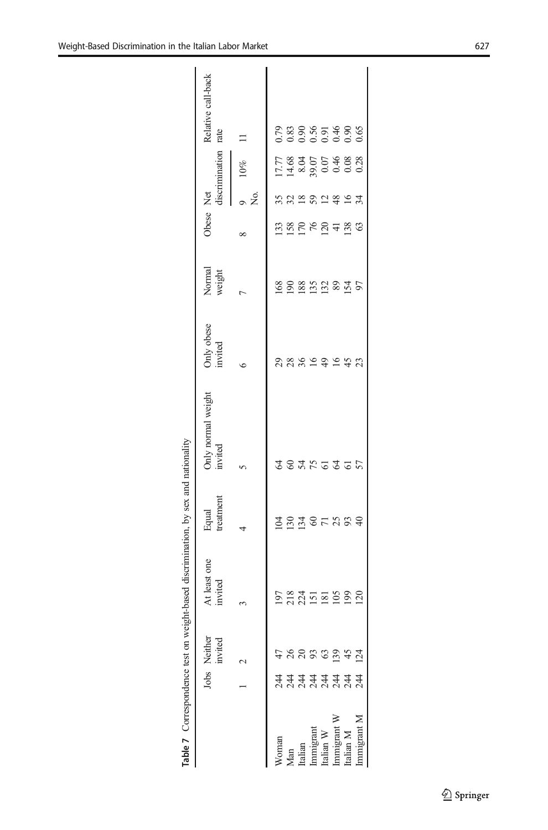<span id="page-10-0"></span>

|                   |                               |                         | Table 7 Correspondence test on weight-based discrimination, by sex and nationality |                     |                                    |                       |                  |                                                              |           |                                          |                            |
|-------------------|-------------------------------|-------------------------|------------------------------------------------------------------------------------|---------------------|------------------------------------|-----------------------|------------------|--------------------------------------------------------------|-----------|------------------------------------------|----------------------------|
|                   |                               | Jobs Neither<br>invited | At least one<br>nvited                                                             | Equal<br>treatment  | Only normal weight<br>invited      | Only obese<br>invited | Normal<br>weight | Obese                                                        | Net       | discrimination                           | Relative call-back<br>rate |
|                   |                               |                         |                                                                                    |                     |                                    | ∘                     |                  |                                                              | ື້ຂ       | $10\%$                                   |                            |
| N <sub>oman</sub> |                               |                         |                                                                                    |                     |                                    |                       |                  |                                                              |           |                                          |                            |
| Man               |                               |                         |                                                                                    | 1<br>2 2 4<br>1 2 4 | <b>2 S Y</b>                       |                       |                  |                                                              |           |                                          |                            |
| ttalian           | <u>र्द्र दे दे दे दे दे द</u> | <b>5 8 8 8 9</b>        |                                                                                    |                     |                                    | 2 2 3 4 5 4 5 4       | 2882222          | $\begin{array}{c} 238 \\ 249 \\ -259 \\ -259 \\ \end{array}$ | 5.8282427 | 1778<br>1989 1989 1989<br>1989 1980 1980 | 0.83865486<br>0.00000000   |
| .mmigrant         |                               |                         |                                                                                    | $rac{5}{7}$         |                                    |                       |                  |                                                              |           |                                          |                            |
| talian W          |                               |                         |                                                                                    |                     | $75$ $\overline{6}$ $\overline{4}$ |                       |                  |                                                              |           |                                          |                            |
| mmigrant W        |                               | 3945                    |                                                                                    | 25                  |                                    |                       |                  |                                                              |           |                                          |                            |
| talian M          |                               |                         | <b>99</b>                                                                          | 93                  | 61                                 |                       |                  |                                                              |           |                                          |                            |
| nmigrant N        | 244                           |                         | $\overline{20}$                                                                    | 40                  |                                    | $\mathfrak{L}$        | 97               | 63                                                           |           |                                          |                            |
|                   |                               |                         |                                                                                    |                     |                                    |                       |                  |                                                              |           |                                          |                            |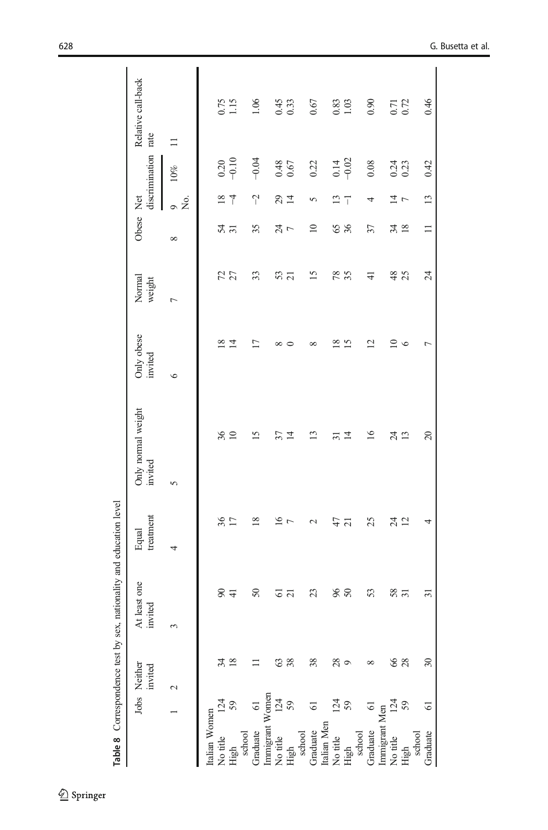<span id="page-11-0"></span>

|                 |                | Table 8 Correspondence test by sex, |                         | nationality and education level |                               |                          |                  |                 |                      |                     |                    |  |
|-----------------|----------------|-------------------------------------|-------------------------|---------------------------------|-------------------------------|--------------------------|------------------|-----------------|----------------------|---------------------|--------------------|--|
|                 |                | Jobs Neither<br>invited             | At least one<br>invited | treatment<br>Equal              | Only normal weight<br>invited | Only obese<br>invited    | Normal<br>weight | Obese Net       |                      | discrimination rate | Relative call-back |  |
|                 |                | $\mathbf 2$                         |                         | 4                               | $\sim$                        | $\circ$                  | $\overline{ }$   | $\infty$        | Σó,<br>$\circ$       | 10%                 | $\Box$             |  |
| Italian Women   |                |                                     |                         |                                 |                               |                          |                  |                 |                      |                     |                    |  |
| No title        | 124            | 34                                  | $\infty$                | 36                              | 36                            | $\frac{8}{2}$            |                  |                 | $\frac{8}{2}$        | 0.20                | 0.75               |  |
| High            | 59             | $\frac{8}{2}$                       | $\overline{4}$          | $\overline{17}$                 | $\overline{10}$               | $\overline{1}$           | 72               | $\frac{54}{31}$ | $\overline{1}$       | $-0.10$             | 1.15               |  |
| school          |                |                                     |                         |                                 |                               |                          |                  |                 |                      |                     |                    |  |
| Graduate        | $\overline{6}$ |                                     | $50\,$                  | $\frac{8}{2}$                   | $\overline{15}$               | $\overline{17}$          | 33               | 35              | $\gamma$             | $-0.04$             | 1.06               |  |
| Immigrant Women |                |                                     |                         |                                 |                               |                          |                  |                 |                      |                     |                    |  |
| No title        | 124            | 63                                  | 61                      | $\overline{16}$                 | 57                            | ∞                        | 53               | $\frac{74}{7}$  | $29 + 4$             | 0.48                | $0.45$<br>$0.33$   |  |
| High            | 59             | 38                                  | $\overline{\Omega}$     | $\overline{r}$                  | 4                             |                          |                  |                 |                      | 0.67                |                    |  |
| school          |                |                                     |                         |                                 |                               |                          |                  |                 |                      |                     |                    |  |
| Graduate        | 5              | 38                                  | 23                      | $\mathcal{L}$                   | Ω                             | ${}^{\circ}$             | 15               | $\approx$       | 5                    | 0.22                | 0.67               |  |
| Italian Men     |                |                                     |                         |                                 |                               |                          |                  |                 |                      |                     |                    |  |
| No title        | 124            | 28                                  | 96                      | 47                              | ಸ                             | ≊                        | 78               | $rac{65}{26}$   | 13                   | 0.14                | 0.83               |  |
| High            | 59             | $\circ$                             | $50\,$                  | $\overline{c}$                  | 그                             | $\overline{15}$          |                  |                 | $\overline{1}$       | $-0.02$             | 1.03               |  |
| school          |                |                                     |                         |                                 |                               |                          |                  |                 |                      |                     |                    |  |
| Graduate        | $\overline{6}$ | $\infty$                            | 53                      | 25                              | $\overline{16}$               | $\overline{\mathcal{C}}$ | $\overline{4}$   | 57              | 4                    | 0.08                | 0.90               |  |
| Immigrant Men   |                |                                     |                         |                                 |                               |                          |                  |                 |                      |                     |                    |  |
| No title        | 124            | 66                                  | 58                      | $24$ $12$                       | $\overline{24}$               | $\Xi$                    | 48               | 34 <sub>8</sub> | $\frac{1}{4}$ $\sim$ | 0.24                | $0.71$<br>$0.72$   |  |
| High            | 59             | 28                                  | 51                      |                                 | 13                            | $\circ$                  | 25               |                 |                      | 0.23                |                    |  |
| school          |                |                                     |                         |                                 |                               |                          |                  |                 |                      |                     |                    |  |
| Graduate        | $\overline{6}$ | $30\,$                              | ಸ                       | 4                               | 20                            | Γ                        | 24               | $\Box$          | 13                   | 0.42                | 0.46               |  |
|                 |                |                                     |                         |                                 |                               |                          |                  |                 |                      |                     |                    |  |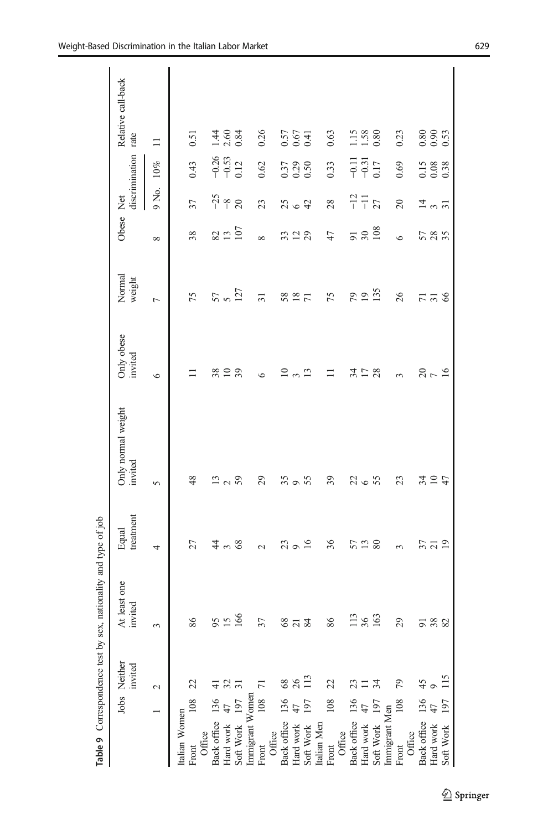<span id="page-12-0"></span>

|                                 |     | Table 9 Correspondence test by sex, | nationality and type of job |                          |                               |                       |                  |                 |                             |                                                     |                             |
|---------------------------------|-----|-------------------------------------|-----------------------------|--------------------------|-------------------------------|-----------------------|------------------|-----------------|-----------------------------|-----------------------------------------------------|-----------------------------|
|                                 |     | Jobs Neither<br>invited             | At least one<br>invited     | treatment<br>Equal       | Only normal weight<br>invited | Only obese<br>invited | Normal<br>weight | Obese Net       | discrimination              |                                                     | Relative call-back<br>rate  |
|                                 |     | $\sim$                              |                             | 4                        | $\sigma$                      | $\circ$               | $\overline{a}$   | $\infty$        | 9 No.                       | $10\%$                                              | $\Box$                      |
| Italian Women                   |     |                                     |                             |                          |                               |                       |                  |                 |                             |                                                     |                             |
| Office<br>Front                 |     | 22                                  | 86                          | 27                       | 48                            |                       | 75               | 38              | 57                          | 0.43                                                | 0.51                        |
|                                 |     | $\exists$                           | SS                          | $\ddot{4}$               | $\Xi$                         | 38                    |                  |                 |                             |                                                     |                             |
| Back office 136<br>Hard work 47 |     | 32                                  | $\tilde{5}$                 | $\epsilon$               |                               | $\overline{10}$       | 57               | $\frac{82}{13}$ | $-25$<br>$-8$<br>20         | $-0.33$<br>$-0.33$<br>$-0.12$                       | $\frac{1}{4}$ $\frac{6}{6}$ |
| Soft Work 197                   |     | $\overline{31}$                     | 166                         | 68                       | 2,59                          | 39                    | 127              | 107             |                             |                                                     | 0.84                        |
| Immigrant Women                 |     |                                     |                             |                          |                               |                       |                  |                 |                             |                                                     |                             |
| Front                           | 108 |                                     | 37                          | $\overline{\mathcal{C}}$ | $\mathbf{S}$                  | $\circ$               | $\overline{31}$  | $\infty$        | 23                          | 0.62                                                | 0.26                        |
| Office                          |     |                                     |                             |                          |                               |                       |                  |                 |                             |                                                     |                             |
| Back office 136                 |     | 68                                  | $\frac{8}{3}$               | Z                        | 35                            | $\approx$             | 58               | 33              |                             |                                                     |                             |
| Hard work                       |     | 26                                  | $\frac{5}{2}$               | $9^{16}$                 | $\circ$                       | $\infty$              | $\overline{18}$  | $\frac{2}{2}$   | $25 - 42$                   | $\begin{array}{c} 0.37 \\ 0.29 \\ 0.50 \end{array}$ | 55<br>0.57<br>0.51          |
| Soft Work                       | 197 | 113                                 |                             |                          | 55                            | $\mathbf{r}$          | $\overline{71}$  |                 |                             |                                                     |                             |
| Italian Men                     |     |                                     |                             |                          |                               |                       |                  |                 |                             |                                                     |                             |
| Front                           | 108 | 22                                  | 86                          | 36                       | 39                            |                       | 75               | 47              | 28                          | 0.33                                                | 0.63                        |
| Office                          |     |                                     |                             |                          |                               |                       |                  |                 |                             |                                                     |                             |
| Back office 136                 |     | 23                                  |                             | 57                       |                               | र्द्र                 | 64               |                 |                             |                                                     |                             |
|                                 |     | $\equiv$                            | $\frac{13}{36}$             | 13 <sub>80</sub>         | 2265                          | $\Box$                | $\overline{19}$  | $\frac{51}{30}$ | $-12$<br>$-11$<br>$27$      | $\frac{7}{9}$ $\frac{7}{9}$ $\frac{7}{9}$           | $\frac{1.15}{1.38}$         |
| Hard work<br>Soft Work          | 197 | 34                                  |                             |                          |                               | 28                    | 135              |                 |                             |                                                     |                             |
| Immigrant Men                   |     |                                     |                             |                          |                               |                       |                  |                 |                             |                                                     |                             |
| Front                           | 108 | 79                                  | $\mathcal{S}^2$             | $\sim$                   | 23                            | $\sim$                | 26               | $\bullet$       | $\Omega$                    | 0.69                                                | 0.23                        |
| Office                          |     |                                     |                             |                          |                               |                       |                  |                 |                             |                                                     |                             |
| Back office 136                 |     | $\frac{45}{5}$                      |                             | 57                       |                               |                       |                  |                 |                             |                                                     |                             |
| Hard work .<br>Soft Work        |     | $\circ$                             | <u>ଗ ଞ୍</u> ଜ ଷ             | $\overline{c}$           | 3124                          | 2070                  | 7756             | 585             | $\frac{1}{4}$ $\frac{1}{2}$ | $\begin{array}{c} 0.15 \\ 0.08 \\ 0.38 \end{array}$ | 88.<br>88.<br>99.           |
|                                 | 197 | 115                                 |                             | $\overline{5}$           |                               |                       |                  |                 |                             |                                                     |                             |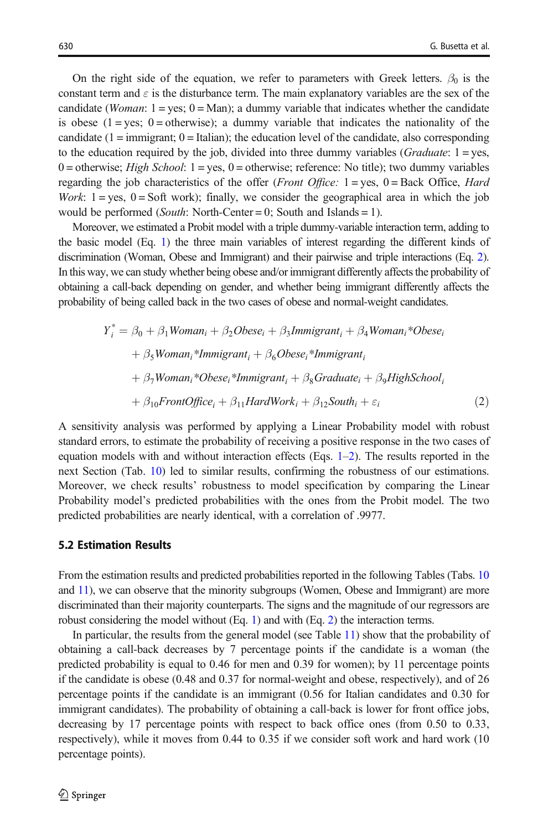<span id="page-13-0"></span>On the right side of the equation, we refer to parameters with Greek letters.  $\beta_0$  is the constant term and  $\varepsilon$  is the disturbance term. The main explanatory variables are the sex of the candidate (*Woman*:  $1 = yes$ ;  $0 = Man$ ); a dummy variable that indicates whether the candidate is obese  $(1 = yes; 0 = otherwise)$ ; a dummy variable that indicates the nationality of the candidate  $(1 = \text{immigrant}; 0 = \text{Italian});$  the education level of the candidate, also corresponding to the education required by the job, divided into three dummy variables (*Graduate*:  $1 = yes$ , 0 = otherwise; *High School*: 1 = yes, 0 = otherwise; reference: No title); two dummy variables regarding the job characteristics of the offer (*Front Office:*  $1 = yes$ ,  $0 = Back$  Office, *Hard* Work:  $1 = yes$ ,  $0 = Soft$  work); finally, we consider the geographical area in which the job would be performed (*South*: North-Center = 0; South and Islands = 1).

Moreover, we estimated a Probit model with a triple dummy-variable interaction term, adding to the basic model (Eq. [1\)](#page-9-0) the three main variables of interest regarding the different kinds of discrimination (Woman, Obese and Immigrant) and their pairwise and triple interactions (Eq. 2). In this way, we can study whether being obese and/or immigrant differently affects the probability of obtaining a call-back depending on gender, and whether being immigrant differently affects the probability of being called back in the two cases of obese and normal-weight candidates.

$$
Y_i^* = \beta_0 + \beta_1 Woman_i + \beta_2 Obese_i + \beta_3 Immigrant_i + \beta_4 Woman_i^*Obese_i
$$
  
+  $\beta_5 Woman_i^*Immigrant_i + \beta_6 Obese_i^*Immigrant_i$   
+  $\beta_7 Woman_i^*Obese_i^*Immigrant_i + \beta_8 Graduate_i + \beta_9High School_i$   
+  $\beta_{10} FrontOffice_i + \beta_{11} HardWork_i + \beta_{12} South_i + \varepsilon_i$  (2)

A sensitivity analysis was performed by applying a Linear Probability model with robust standard errors, to estimate the probability of receiving a positive response in the two cases of equation models with and without interaction effects (Eqs. [1](#page-9-0)–2). The results reported in the next Section (Tab. [10\)](#page-14-0) led to similar results, confirming the robustness of our estimations. Moreover, we check results' robustness to model specification by comparing the Linear Probability model's predicted probabilities with the ones from the Probit model. The two predicted probabilities are nearly identical, with a correlation of .9977.

#### 5.2 Estimation Results

From the estimation results and predicted probabilities reported in the following Tables (Tabs. [10](#page-14-0) and [11](#page-15-0)), we can observe that the minority subgroups (Women, Obese and Immigrant) are more discriminated than their majority counterparts. The signs and the magnitude of our regressors are robust considering the model without (Eq. [1](#page-9-0)) and with (Eq. 2) the interaction terms.

In particular, the results from the general model (see Table [11](#page-15-0)) show that the probability of obtaining a call-back decreases by 7 percentage points if the candidate is a woman (the predicted probability is equal to 0.46 for men and 0.39 for women); by 11 percentage points if the candidate is obese (0.48 and 0.37 for normal-weight and obese, respectively), and of 26 percentage points if the candidate is an immigrant (0.56 for Italian candidates and 0.30 for immigrant candidates). The probability of obtaining a call-back is lower for front office jobs, decreasing by 17 percentage points with respect to back office ones (from 0.50 to 0.33, respectively), while it moves from 0.44 to 0.35 if we consider soft work and hard work (10 percentage points).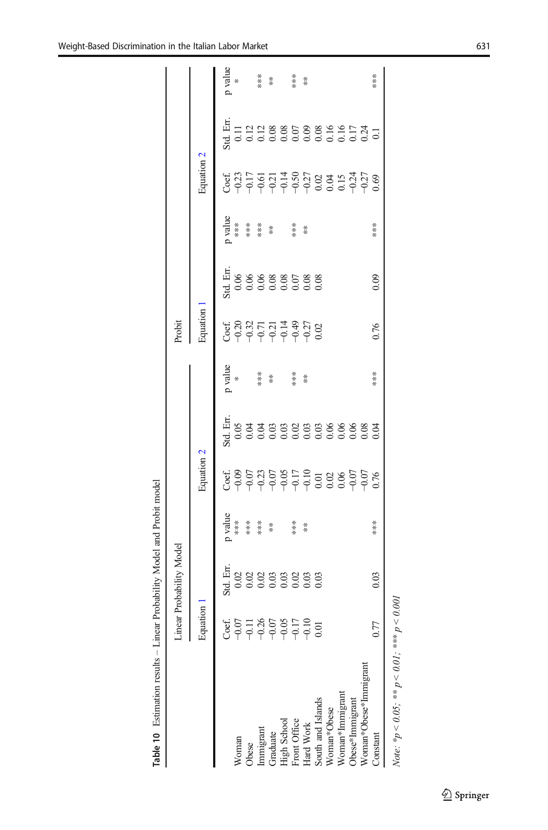| ֦֖֖֖֦֧֧֧֧֚֚֚֚֚֚֚֚֚֚֚֚֚֚֚֚֚֚֚֚֞֕֝֬֕֝֡֡֡֡֬֝֓֞֡֡֡֡֬֝֓֞֡֡֡֬֓֞֡֞֬֓֞֡֝֬֞֞֝֬֞֝֬֝֓֞֬֝֬֝֬֝֬֝֬֝ |  |
|---------------------------------------------------------------------------------------|--|
|                                                                                       |  |
|                                                                                       |  |
|                                                                                       |  |
| l<br>ֺ֝֡                                                                              |  |
| l                                                                                     |  |
|                                                                                       |  |
|                                                                                       |  |
| j                                                                                     |  |

<span id="page-14-0"></span>

|                                                                                                                                                    | $\overline{\phantom{a}}$ | Linear Probability Model |                               |            |                                                | Probit                                           |                                                |                      |            |                                              |                   |
|----------------------------------------------------------------------------------------------------------------------------------------------------|--------------------------|--------------------------|-------------------------------|------------|------------------------------------------------|--------------------------------------------------|------------------------------------------------|----------------------|------------|----------------------------------------------|-------------------|
|                                                                                                                                                    | Equation 1               |                          |                               | Equation 2 |                                                | Equation 1                                       |                                                |                      | Equation 2 |                                              |                   |
|                                                                                                                                                    |                          |                          |                               |            | p value                                        |                                                  |                                                |                      |            |                                              | p value           |
| Voman                                                                                                                                              |                          |                          |                               |            |                                                |                                                  |                                                |                      |            |                                              |                   |
| bese                                                                                                                                               |                          |                          | p<br>***<br>*******<br>****** |            |                                                | ti 8 22 7 7 7 7 9 7 9 2<br>C 9 7 9 9 9 9 9 9 0 2 | H <sub>14</sub><br>1998 880588<br>1999 999 999 | p<br>***<br>******** |            | H<br>1111208800889010741<br>1000000000000000 |                   |
|                                                                                                                                                    |                          |                          |                               |            | $\begin{array}{cc} * & * \\ * & * \end{array}$ |                                                  |                                                |                      |            |                                              | ***               |
|                                                                                                                                                    |                          |                          |                               |            |                                                |                                                  |                                                |                      |            |                                              | $\stackrel{*}{*}$ |
|                                                                                                                                                    |                          |                          |                               |            |                                                |                                                  |                                                |                      |            |                                              |                   |
| Immigrant<br>Graduate<br>High School<br>Front Office<br>Front Office<br>South and Islands<br>Woman*Immigrant<br>Woman*Immigrant<br>Obese*Immigrant |                          |                          | $**$                          |            |                                                |                                                  |                                                | ***                  |            |                                              | $**$              |
|                                                                                                                                                    |                          |                          | $*$                           |            | $*$                                            |                                                  |                                                | $\frac{*}{*}$        |            |                                              | $*$               |
|                                                                                                                                                    |                          |                          |                               |            |                                                |                                                  |                                                |                      |            |                                              |                   |
|                                                                                                                                                    |                          |                          |                               |            |                                                |                                                  |                                                |                      |            |                                              |                   |
|                                                                                                                                                    |                          |                          |                               |            |                                                |                                                  |                                                |                      |            |                                              |                   |
|                                                                                                                                                    |                          |                          |                               |            |                                                |                                                  |                                                |                      |            |                                              |                   |
| Voman*Obese*Immigrant                                                                                                                              |                          |                          |                               |            |                                                |                                                  |                                                |                      |            |                                              |                   |
| <b>onstant</b>                                                                                                                                     |                          | 0.03                     | ***                           |            | ***                                            | 0.76                                             | 0.09                                           | ***                  |            |                                              | ***               |
|                                                                                                                                                    |                          |                          |                               |            |                                                |                                                  |                                                |                      |            |                                              |                   |

Note: \* $p < 0.05$ ; \*\* $p < 0.01$ ; \*\*\*  $p < 0.001$ Note:  ${}^*\!p < 0.05$ ;  ${}^*\!{}^*\!p < 0.01$ ;  ${}^*\!{}^*\!{}^*\!p < 0.001$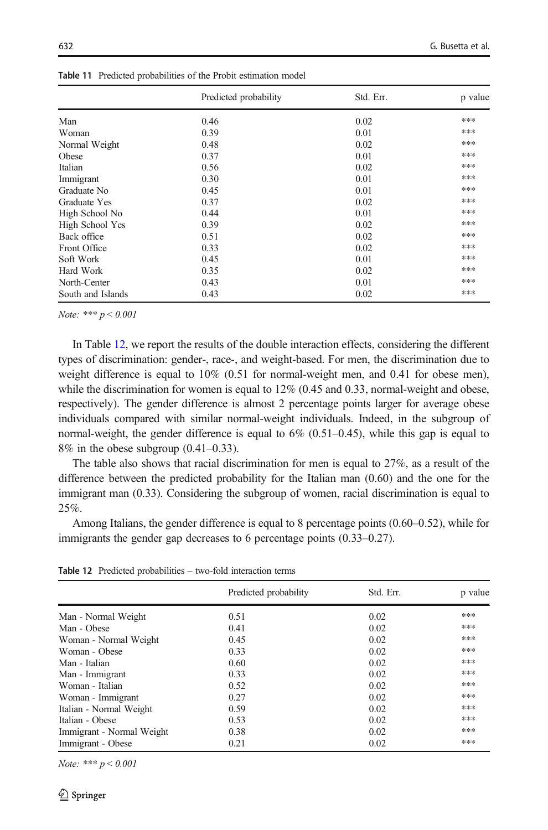|                   | Predicted probability | Std. Err. | p value |
|-------------------|-----------------------|-----------|---------|
| Man               | 0.46                  | 0.02      | ***     |
| Woman             | 0.39                  | 0.01      | ***     |
| Normal Weight     | 0.48                  | 0.02      | ***     |
| Obese             | 0.37                  | 0.01      | ***     |
| Italian           | 0.56                  | 0.02      | ***     |
| Immigrant         | 0.30                  | 0.01      | ***     |
| Graduate No       | 0.45                  | 0.01      | ***     |
| Graduate Yes      | 0.37                  | 0.02      | ***     |
| High School No    | 0.44                  | 0.01      | ***     |
| High School Yes   | 0.39                  | 0.02      | ***     |
| Back office       | 0.51                  | 0.02      | ***     |
| Front Office      | 0.33                  | 0.02      | ***     |
| Soft Work         | 0.45                  | 0.01      | ***     |
| Hard Work         | 0.35                  | 0.02      | ***     |
| North-Center      | 0.43                  | 0.01      | ***     |
| South and Islands | 0.43                  | 0.02      | ***     |

<span id="page-15-0"></span>Table 11 Predicted probabilities of the Probit estimation model

Note: \*\*\*  $p < 0.001$ 

In Table 12, we report the results of the double interaction effects, considering the different types of discrimination: gender-, race-, and weight-based. For men, the discrimination due to weight difference is equal to  $10\%$  (0.51 for normal-weight men, and 0.41 for obese men), while the discrimination for women is equal to  $12\%$  (0.45 and 0.33, normal-weight and obese, respectively). The gender difference is almost 2 percentage points larger for average obese individuals compared with similar normal-weight individuals. Indeed, in the subgroup of normal-weight, the gender difference is equal to  $6\%$   $(0.51-0.45)$ , while this gap is equal to  $8\%$  in the obese subgroup  $(0.41-0.33)$ .

The table also shows that racial discrimination for men is equal to 27%, as a result of the difference between the predicted probability for the Italian man (0.60) and the one for the immigrant man (0.33). Considering the subgroup of women, racial discrimination is equal to 25%.

Among Italians, the gender difference is equal to 8 percentage points (0.60–0.52), while for immigrants the gender gap decreases to 6 percentage points (0.33–0.27).

Table 12 Predicted probabilities – two-fold interaction terms

|                           | Predicted probability | Std. Err. | p value |
|---------------------------|-----------------------|-----------|---------|
| Man - Normal Weight       | 0.51                  | 0.02      | ***     |
| Man - Obese               | 0.41                  | 0.02      | ***     |
| Woman - Normal Weight     | 0.45                  | 0.02      | ***     |
| Woman - Obese             | 0.33                  | 0.02      | ***     |
| Man - Italian             | 0.60                  | 0.02      | ***     |
| Man - Immigrant           | 0.33                  | 0.02      | ***     |
| Woman - Italian           | 0.52                  | 0.02      | ***     |
| Woman - Immigrant         | 0.27                  | 0.02      | ***     |
| Italian - Normal Weight   | 0.59                  | 0.02      | ***     |
| Italian - Obese           | 0.53                  | 0.02      | ***     |
| Immigrant - Normal Weight | 0.38                  | 0.02      | ***     |
| Immigrant - Obese         | 0.21                  | 0.02      | ***     |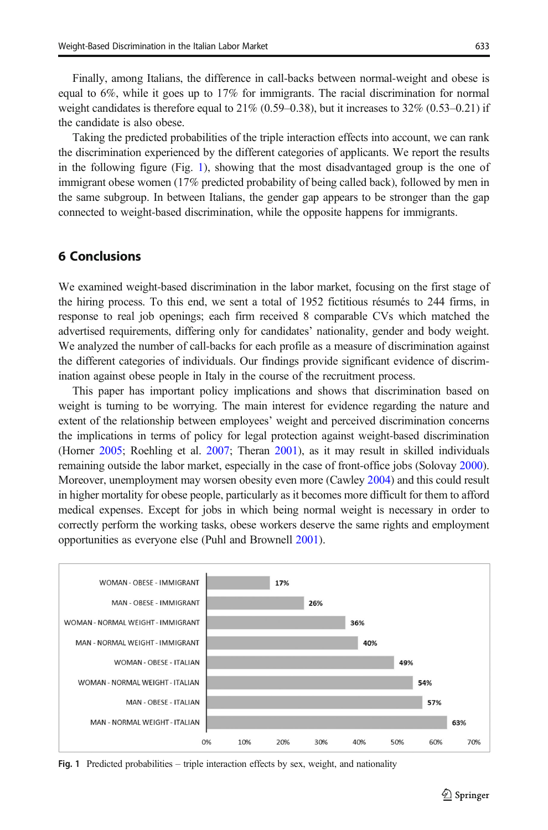Finally, among Italians, the difference in call-backs between normal-weight and obese is equal to 6%, while it goes up to 17% for immigrants. The racial discrimination for normal weight candidates is therefore equal to  $21\%$  (0.59–0.38), but it increases to  $32\%$  (0.53–0.21) if the candidate is also obese.

Taking the predicted probabilities of the triple interaction effects into account, we can rank the discrimination experienced by the different categories of applicants. We report the results in the following figure (Fig. 1), showing that the most disadvantaged group is the one of immigrant obese women (17% predicted probability of being called back), followed by men in the same subgroup. In between Italians, the gender gap appears to be stronger than the gap connected to weight-based discrimination, while the opposite happens for immigrants.

# 6 Conclusions

We examined weight-based discrimination in the labor market, focusing on the first stage of the hiring process. To this end, we sent a total of 1952 fictitious résumés to 244 firms, in response to real job openings; each firm received 8 comparable CVs which matched the advertised requirements, differing only for candidates' nationality, gender and body weight. We analyzed the number of call-backs for each profile as a measure of discrimination against the different categories of individuals. Our findings provide significant evidence of discrimination against obese people in Italy in the course of the recruitment process.

This paper has important policy implications and shows that discrimination based on weight is turning to be worrying. The main interest for evidence regarding the nature and extent of the relationship between employees' weight and perceived discrimination concerns the implications in terms of policy for legal protection against weight-based discrimination (Horner [2005](#page-19-0); Roehling et al. [2007](#page-20-0); Theran [2001\)](#page-20-0), as it may result in skilled individuals remaining outside the labor market, especially in the case of front-office jobs (Solovay [2000](#page-20-0)). Moreover, unemployment may worsen obesity even more (Cawley [2004](#page-18-0)) and this could result in higher mortality for obese people, particularly as it becomes more difficult for them to afford medical expenses. Except for jobs in which being normal weight is necessary in order to correctly perform the working tasks, obese workers deserve the same rights and employment opportunities as everyone else (Puhl and Brownell [2001\)](#page-20-0).



Fig. 1 Predicted probabilities – triple interaction effects by sex, weight, and nationality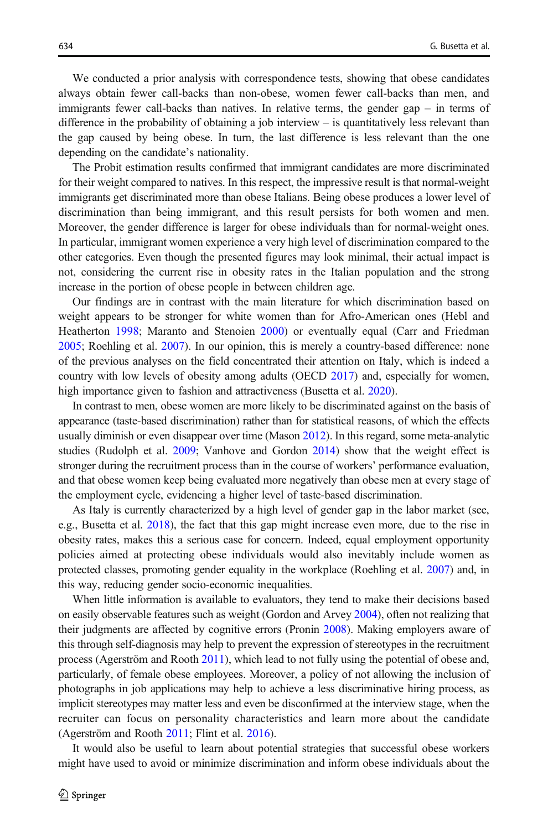We conducted a prior analysis with correspondence tests, showing that obese candidates always obtain fewer call-backs than non-obese, women fewer call-backs than men, and immigrants fewer call-backs than natives. In relative terms, the gender gap – in terms of difference in the probability of obtaining a job interview – is quantitatively less relevant than the gap caused by being obese. In turn, the last difference is less relevant than the one depending on the candidate's nationality.

The Probit estimation results confirmed that immigrant candidates are more discriminated for their weight compared to natives. In this respect, the impressive result is that normal-weight immigrants get discriminated more than obese Italians. Being obese produces a lower level of discrimination than being immigrant, and this result persists for both women and men. Moreover, the gender difference is larger for obese individuals than for normal-weight ones. In particular, immigrant women experience a very high level of discrimination compared to the other categories. Even though the presented figures may look minimal, their actual impact is not, considering the current rise in obesity rates in the Italian population and the strong increase in the portion of obese people in between children age.

Our findings are in contrast with the main literature for which discrimination based on weight appears to be stronger for white women than for Afro-American ones (Hebl and Heatherton [1998](#page-19-0); Maranto and Stenoien [2000\)](#page-19-0) or eventually equal (Carr and Friedman [2005](#page-18-0); Roehling et al. [2007\)](#page-20-0). In our opinion, this is merely a country-based difference: none of the previous analyses on the field concentrated their attention on Italy, which is indeed a country with low levels of obesity among adults (OECD [2017](#page-20-0)) and, especially for women, high importance given to fashion and attractiveness (Busetta et al. [2020\)](#page-18-0).

In contrast to men, obese women are more likely to be discriminated against on the basis of appearance (taste-based discrimination) rather than for statistical reasons, of which the effects usually diminish or even disappear over time (Mason [2012](#page-19-0)). In this regard, some meta-analytic studies (Rudolph et al. [2009](#page-20-0); Vanhove and Gordon [2014](#page-20-0)) show that the weight effect is stronger during the recruitment process than in the course of workers' performance evaluation, and that obese women keep being evaluated more negatively than obese men at every stage of the employment cycle, evidencing a higher level of taste-based discrimination.

As Italy is currently characterized by a high level of gender gap in the labor market (see, e.g., Busetta et al. [2018](#page-18-0)), the fact that this gap might increase even more, due to the rise in obesity rates, makes this a serious case for concern. Indeed, equal employment opportunity policies aimed at protecting obese individuals would also inevitably include women as protected classes, promoting gender equality in the workplace (Roehling et al. [2007\)](#page-20-0) and, in this way, reducing gender socio-economic inequalities.

When little information is available to evaluators, they tend to make their decisions based on easily observable features such as weight (Gordon and Arvey [2004\)](#page-19-0), often not realizing that their judgments are affected by cognitive errors (Pronin [2008](#page-20-0)). Making employers aware of this through self-diagnosis may help to prevent the expression of stereotypes in the recruitment process (Agerström and Rooth [2011](#page-18-0)), which lead to not fully using the potential of obese and, particularly, of female obese employees. Moreover, a policy of not allowing the inclusion of photographs in job applications may help to achieve a less discriminative hiring process, as implicit stereotypes may matter less and even be disconfirmed at the interview stage, when the recruiter can focus on personality characteristics and learn more about the candidate (Agerström and Rooth [2011;](#page-18-0) Flint et al. [2016\)](#page-19-0).

It would also be useful to learn about potential strategies that successful obese workers might have used to avoid or minimize discrimination and inform obese individuals about the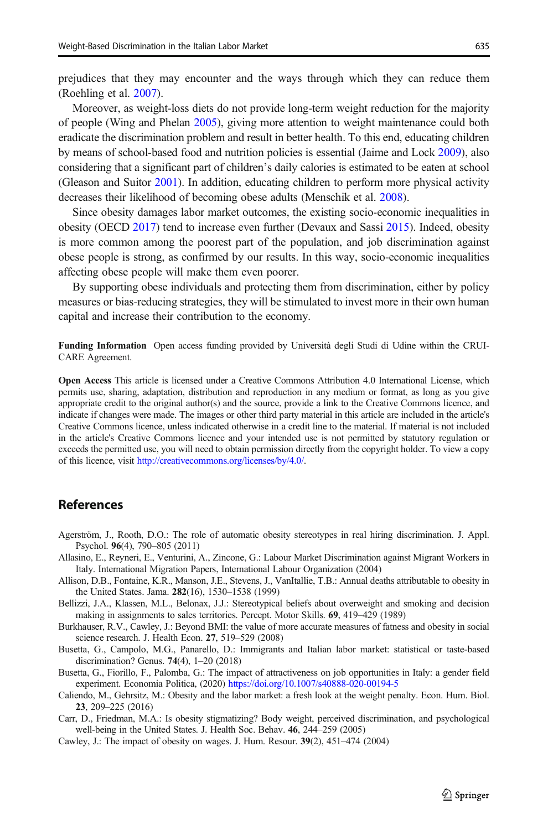<span id="page-18-0"></span>prejudices that they may encounter and the ways through which they can reduce them (Roehling et al. [2007\)](#page-20-0).

Moreover, as weight-loss diets do not provide long-term weight reduction for the majority of people (Wing and Phelan [2005](#page-20-0)), giving more attention to weight maintenance could both eradicate the discrimination problem and result in better health. To this end, educating children by means of school-based food and nutrition policies is essential (Jaime and Lock [2009](#page-19-0)), also considering that a significant part of children's daily calories is estimated to be eaten at school (Gleason and Suitor [2001\)](#page-19-0). In addition, educating children to perform more physical activity decreases their likelihood of becoming obese adults (Menschik et al. [2008](#page-19-0)).

Since obesity damages labor market outcomes, the existing socio-economic inequalities in obesity (OECD [2017](#page-20-0)) tend to increase even further (Devaux and Sassi [2015](#page-19-0)). Indeed, obesity is more common among the poorest part of the population, and job discrimination against obese people is strong, as confirmed by our results. In this way, socio-economic inequalities affecting obese people will make them even poorer.

By supporting obese individuals and protecting them from discrimination, either by policy measures or bias-reducing strategies, they will be stimulated to invest more in their own human capital and increase their contribution to the economy.

Funding Information Open access funding provided by Università degli Studi di Udine within the CRUI-CARE Agreement.

Open Access This article is licensed under a Creative Commons Attribution 4.0 International License, which permits use, sharing, adaptation, distribution and reproduction in any medium or format, as long as you give appropriate credit to the original author(s) and the source, provide a link to the Creative Commons licence, and indicate if changes were made. The images or other third party material in this article are included in the article's Creative Commons licence, unless indicated otherwise in a credit line to the material. If material is not included in the article's Creative Commons licence and your intended use is not permitted by statutory regulation or exceeds the permitted use, you will need to obtain permission directly from the copyright holder. To view a copy of this licence, visit [http://creativecommons.org/licenses/by/4.0/.](https://doi.org/)

# References

- Agerström, J., Rooth, D.O.: The role of automatic obesity stereotypes in real hiring discrimination. J. Appl. Psychol. 96(4), 790–805 (2011)
- Allasino, E., Reyneri, E., Venturini, A., Zincone, G.: Labour Market Discrimination against Migrant Workers in Italy. International Migration Papers, International Labour Organization (2004)
- Allison, D.B., Fontaine, K.R., Manson, J.E., Stevens, J., VanItallie, T.B.: Annual deaths attributable to obesity in the United States. Jama. 282(16), 1530–1538 (1999)
- Bellizzi, J.A., Klassen, M.L., Belonax, J.J.: Stereotypical beliefs about overweight and smoking and decision making in assignments to sales territories. Percept. Motor Skills. 69, 419–429 (1989)
- Burkhauser, R.V., Cawley, J.: Beyond BMI: the value of more accurate measures of fatness and obesity in social science research. J. Health Econ. 27, 519–529 (2008)
- Busetta, G., Campolo, M.G., Panarello, D.: Immigrants and Italian labor market: statistical or taste-based discrimination? Genus. 74(4), 1–20 (2018)
- Busetta, G., Fiorillo, F., Palomba, G.: The impact of attractiveness on job opportunities in Italy: a gender field experiment. Economia Politica, (2020) <https://doi.org/10.1007/s40888-020-00194-5>
- Caliendo, M., Gehrsitz, M.: Obesity and the labor market: a fresh look at the weight penalty. Econ. Hum. Biol. 23, 209–225 (2016)
- Carr, D., Friedman, M.A.: Is obesity stigmatizing? Body weight, perceived discrimination, and psychological well-being in the United States. J. Health Soc. Behav. 46, 244–259 (2005)
- Cawley, J.: The impact of obesity on wages. J. Hum. Resour. 39(2), 451–474 (2004)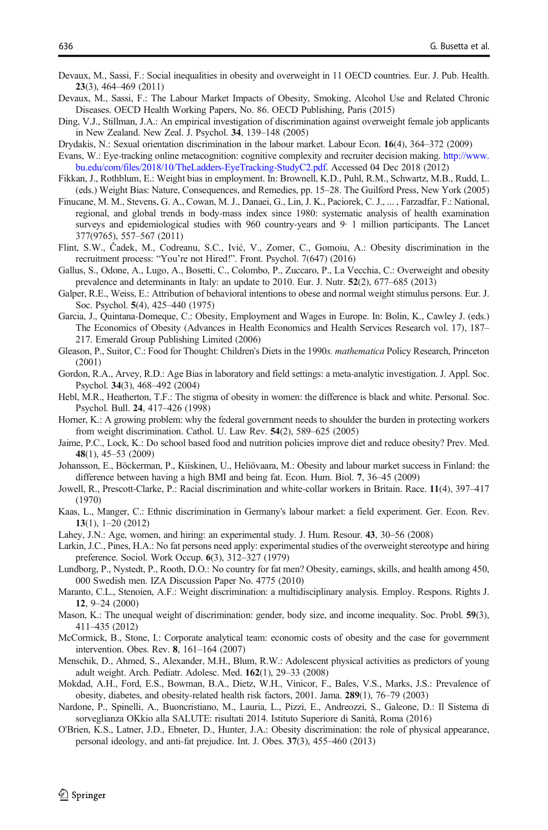- <span id="page-19-0"></span>Devaux, M., Sassi, F.: Social inequalities in obesity and overweight in 11 OECD countries. Eur. J. Pub. Health. 23(3), 464–469 (2011)
- Devaux, M., Sassi, F.: The Labour Market Impacts of Obesity, Smoking, Alcohol Use and Related Chronic Diseases. OECD Health Working Papers, No. 86. OECD Publishing, Paris (2015)
- Ding, V.J., Stillman, J.A.: An empirical investigation of discrimination against overweight female job applicants in New Zealand. New Zeal. J. Psychol. 34, 139–148 (2005)
- Drydakis, N.: Sexual orientation discrimination in the labour market. Labour Econ. 16(4), 364–372 (2009)
- Evans, W.: Eye-tracking online metacognition: cognitive complexity and recruiter decision making. [http://www.](http://www.bu.edu/com/files/2018/10/TheLadders-EyeTracking-StudyC2.pdf) [bu.edu/com/files/2018/10/TheLadders-EyeTracking-StudyC2.pdf](http://www.bu.edu/com/files/2018/10/TheLadders-EyeTracking-StudyC2.pdf). Accessed 04 Dec 2018 (2012)
- Fikkan, J., Rothblum, E.: Weight bias in employment. In: Brownell, K.D., Puhl, R.M., Schwartz, M.B., Rudd, L. (eds.) Weight Bias: Nature, Consequences, and Remedies, pp. 15–28. The Guilford Press, New York (2005)
- Finucane, M. M., Stevens, G. A., Cowan, M. J., Danaei, G., Lin, J. K., Paciorek, C. J., ... , Farzadfar, F.: National, regional, and global trends in body-mass index since 1980: systematic analysis of health examination surveys and epidemiological studies with 960 country-years and 9 1 million participants. The Lancet 377(9765), 557–567 (2011)
- Flint, S.W., Čadek, M., Codreanu, S.C., Ivić, V., Zomer, C., Gomoiu, A.: Obesity discrimination in the recruitment process: "You're not Hired!". Front. Psychol. 7(647) (2016)
- Gallus, S., Odone, A., Lugo, A., Bosetti, C., Colombo, P., Zuccaro, P., La Vecchia, C.: Overweight and obesity prevalence and determinants in Italy: an update to 2010. Eur. J. Nutr. 52(2), 677–685 (2013)
- Galper, R.E., Weiss, E.: Attribution of behavioral intentions to obese and normal weight stimulus persons. Eur. J. Soc. Psychol. 5(4), 425–440 (1975)
- Garcia, J., Quintana-Domeque, C.: Obesity, Employment and Wages in Europe. In: Bolin, K., Cawley J. (eds.) The Economics of Obesity (Advances in Health Economics and Health Services Research vol. 17), 187– 217. Emerald Group Publishing Limited (2006)
- Gleason, P., Suitor, C.: Food for Thought: Children's Diets in the 1990s. mathematica Policy Research, Princeton (2001)
- Gordon, R.A., Arvey, R.D.: Age Bias in laboratory and field settings: a meta-analytic investigation. J. Appl. Soc. Psychol. 34(3), 468–492 (2004)
- Hebl, M.R., Heatherton, T.F.: The stigma of obesity in women: the difference is black and white. Personal. Soc. Psychol. Bull. 24, 417–426 (1998)
- Horner, K.: A growing problem: why the federal government needs to shoulder the burden in protecting workers from weight discrimination. Cathol. U. Law Rev. 54(2), 589–625 (2005)
- Jaime, P.C., Lock, K.: Do school based food and nutrition policies improve diet and reduce obesity? Prev. Med. 48(1), 45–53 (2009)
- Johansson, E., Böckerman, P., Kiiskinen, U., Heliövaara, M.: Obesity and labour market success in Finland: the difference between having a high BMI and being fat. Econ. Hum. Biol. 7, 36–45 (2009)
- Jowell, R., Prescott-Clarke, P.: Racial discrimination and white-collar workers in Britain. Race. 11(4), 397–417 (1970)
- Kaas, L., Manger, C.: Ethnic discrimination in Germany's labour market: a field experiment. Ger. Econ. Rev. 13(1), 1–20 (2012)
- Lahey, J.N.: Age, women, and hiring: an experimental study. J. Hum. Resour. 43, 30–56 (2008)
- Larkin, J.C., Pines, H.A.: No fat persons need apply: experimental studies of the overweight stereotype and hiring preference. Sociol. Work Occup. 6(3), 312–327 (1979)
- Lundborg, P., Nystedt, P., Rooth, D.O.: No country for fat men? Obesity, earnings, skills, and health among 450, 000 Swedish men. IZA Discussion Paper No. 4775 (2010)
- Maranto, C.L., Stenoien, A.F.: Weight discrimination: a multidisciplinary analysis. Employ. Respons. Rights J. 12, 9–24 (2000)
- Mason, K.: The unequal weight of discrimination: gender, body size, and income inequality. Soc. Probl. 59(3), 411–435 (2012)
- McCormick, B., Stone, I.: Corporate analytical team: economic costs of obesity and the case for government intervention. Obes. Rev. 8, 161–164 (2007)
- Menschik, D., Ahmed, S., Alexander, M.H., Blum, R.W.: Adolescent physical activities as predictors of young adult weight. Arch. Pediatr. Adolesc. Med. 162(1), 29–33 (2008)
- Mokdad, A.H., Ford, E.S., Bowman, B.A., Dietz, W.H., Vinicor, F., Bales, V.S., Marks, J.S.: Prevalence of obesity, diabetes, and obesity-related health risk factors, 2001. Jama. 289(1), 76–79 (2003)
- Nardone, P., Spinelli, A., Buoncristiano, M., Lauria, L., Pizzi, E., Andreozzi, S., Galeone, D.: Il Sistema di sorveglianza OKkio alla SALUTE: risultati 2014. Istituto Superiore di Sanità, Roma (2016)
- O'Brien, K.S., Latner, J.D., Ebneter, D., Hunter, J.A.: Obesity discrimination: the role of physical appearance, personal ideology, and anti-fat prejudice. Int. J. Obes. 37(3), 455–460 (2013)